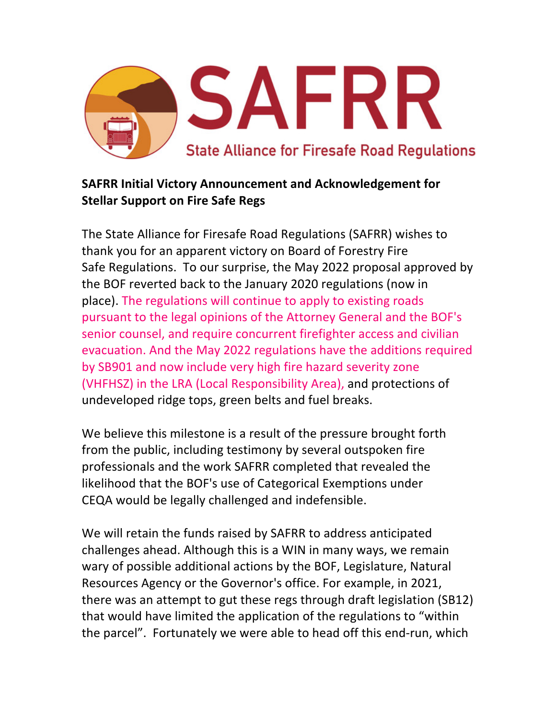

## **SAFRR Initial Victory Announcement and Acknowledgement for Stellar Support on Fire Safe Regs**

The State Alliance for Firesafe Road Regulations (SAFRR) wishes to thank you for an apparent victory on Board of Forestry Fire Safe Regulations. To our surprise, the May 2022 proposal approved by the BOF reverted back to the January 2020 regulations (now in place). The regulations will continue to apply to existing roads pursuant to the legal opinions of the Attorney General and the BOF's senior counsel, and require concurrent firefighter access and civilian evacuation. And the May 2022 regulations have the additions required by SB901 and now include very high fire hazard severity zone (VHFHSZ) in the LRA (Local Responsibility Area), and protections of undeveloped ridge tops, green belts and fuel breaks.

We believe this milestone is a result of the pressure brought forth from the public, including testimony by several outspoken fire professionals and the work SAFRR completed that revealed the likelihood that the BOF's use of Categorical Exemptions under CEQA would be legally challenged and indefensible.

We will retain the funds raised by SAFRR to address anticipated challenges ahead. Although this is a WIN in many ways, we remain wary of possible additional actions by the BOF, Legislature, Natural Resources Agency or the Governor's office. For example, in 2021, there was an attempt to gut these regs through draft legislation (SB12) that would have limited the application of the regulations to "within the parcel". Fortunately we were able to head off this end-run, which